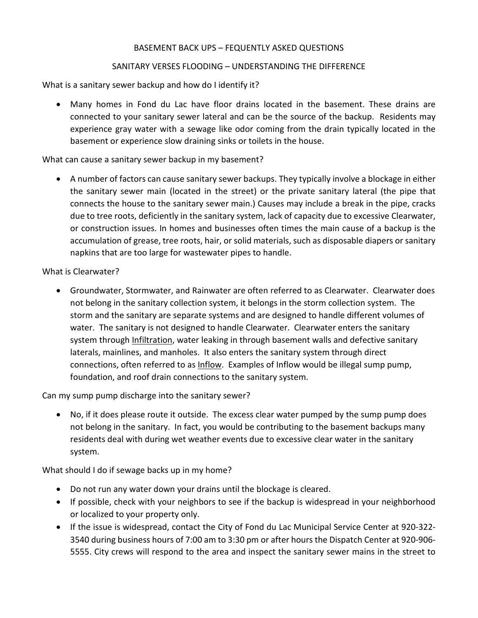# BASEMENT BACK UPS – FEQUENTLY ASKED QUESTIONS

## SANITARY VERSES FLOODING – UNDERSTANDING THE DIFFERENCE

What is a sanitary sewer backup and how do I identify it?

• Many homes in Fond du Lac have floor drains located in the basement. These drains are connected to your sanitary sewer lateral and can be the source of the backup. Residents may experience gray water with a sewage like odor coming from the drain typically located in the basement or experience slow draining sinks or toilets in the house.

## What can cause a sanitary sewer backup in my basement?

• A number of factors can cause sanitary sewer backups. They typically involve a blockage in either the sanitary sewer main (located in the street) or the private sanitary lateral (the pipe that connects the house to the sanitary sewer main.) Causes may include a break in the pipe, cracks due to tree roots, deficiently in the sanitary system, lack of capacity due to excessive Clearwater, or construction issues. In homes and businesses often times the main cause of a backup is the accumulation of grease, tree roots, hair, or solid materials, such as disposable diapers or sanitary napkins that are too large for wastewater pipes to handle.

### What is Clearwater?

• Groundwater, Stormwater, and Rainwater are often referred to as Clearwater. Clearwater does not belong in the sanitary collection system, it belongs in the storm collection system. The storm and the sanitary are separate systems and are designed to handle different volumes of water. The sanitary is not designed to handle Clearwater. Clearwater enters the sanitary system through Infiltration, water leaking in through basement walls and defective sanitary laterals, mainlines, and manholes. It also enters the sanitary system through direct connections, often referred to as Inflow. Examples of Inflow would be illegal sump pump, foundation, and roof drain connections to the sanitary system.

Can my sump pump discharge into the sanitary sewer?

• No, if it does please route it outside. The excess clear water pumped by the sump pump does not belong in the sanitary. In fact, you would be contributing to the basement backups many residents deal with during wet weather events due to excessive clear water in the sanitary system.

What should I do if sewage backs up in my home?

- Do not run any water down your drains until the blockage is cleared.
- If possible, check with your neighbors to see if the backup is widespread in your neighborhood or localized to your property only.
- If the issue is widespread, contact the City of Fond du Lac Municipal Service Center at 920-322- 3540 during business hours of 7:00 am to 3:30 pm or after hours the Dispatch Center at 920-906- 5555. City crews will respond to the area and inspect the sanitary sewer mains in the street to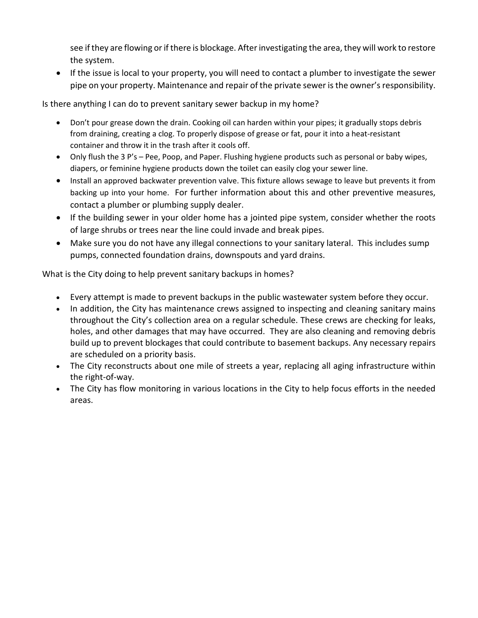see if they are flowing or if there is blockage. After investigating the area, they will work to restore the system.

• If the issue is local to your property, you will need to contact a plumber to investigate the sewer pipe on your property. Maintenance and repair of the private sewer is the owner's responsibility.

Is there anything I can do to prevent sanitary sewer backup in my home?

- Don't pour grease down the drain. Cooking oil can harden within your pipes; it gradually stops debris from draining, creating a clog. To properly dispose of grease or fat, pour it into a heat-resistant container and throw it in the trash after it cools off.
- Only flush the 3 P's Pee, Poop, and Paper. Flushing hygiene products such as personal or baby wipes, diapers, or feminine hygiene products down the toilet can easily clog your sewer line.
- Install an approved backwater prevention valve. This fixture allows sewage to leave but prevents it from backing up into your home. For further information about this and other preventive measures, contact a plumber or plumbing supply dealer.
- If the building sewer in your older home has a jointed pipe system, consider whether the roots of large shrubs or trees near the line could invade and break pipes.
- Make sure you do not have any illegal connections to your sanitary lateral. This includes sump pumps, connected foundation drains, downspouts and yard drains.

What is the City doing to help prevent sanitary backups in homes?

- Every attempt is made to prevent backups in the public wastewater system before they occur.
- In addition, the City has maintenance crews assigned to inspecting and cleaning sanitary mains throughout the City's collection area on a regular schedule. These crews are checking for leaks, holes, and other damages that may have occurred. They are also cleaning and removing debris build up to prevent blockages that could contribute to basement backups. Any necessary repairs are scheduled on a priority basis.
- The City reconstructs about one mile of streets a year, replacing all aging infrastructure within the right-of-way.
- The City has flow monitoring in various locations in the City to help focus efforts in the needed areas.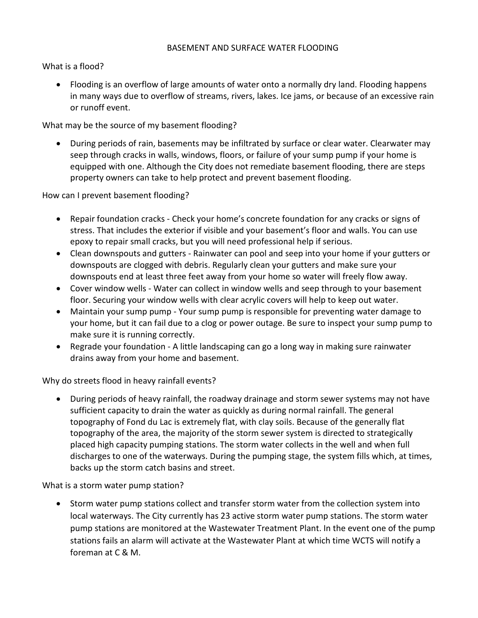### BASEMENT AND SURFACE WATER FLOODING

What is a flood?

• Flooding is an overflow of large amounts of water onto a normally dry land. Flooding happens in many ways due to overflow of streams, rivers, lakes. Ice jams, or because of an excessive rain or runoff event.

What may be the source of my basement flooding?

• During periods of rain, basements may be infiltrated by surface or clear water. Clearwater may seep through cracks in walls, windows, floors, or failure of your sump pump if your home is equipped with one. Although the City does not remediate basement flooding, there are steps property owners can take to help protect and prevent basement flooding.

How can I prevent basement flooding?

- Repair foundation cracks Check your home's concrete foundation for any cracks or signs of stress. That includes the exterior if visible and your basement's floor and walls. You can use epoxy to repair small cracks, but you will need professional help if serious.
- Clean downspouts and gutters Rainwater can pool and seep into your home if your gutters or downspouts are clogged with debris. Regularly clean your gutters and make sure your downspouts end at least three feet away from your home so water will freely flow away.
- Cover window wells Water can collect in window wells and seep through to your basement floor. Securing your window wells with clear acrylic covers will help to keep out water.
- Maintain your sump pump Your sump pump is responsible for preventing water damage to your home, but it can fail due to a clog or power outage. Be sure to inspect your sump pump to make sure it is running correctly.
- Regrade your foundation A little landscaping can go a long way in making sure rainwater drains away from your home and basement.

Why do streets flood in heavy rainfall events?

• During periods of heavy rainfall, the roadway drainage and storm sewer systems may not have sufficient capacity to drain the water as quickly as during normal rainfall. The general topography of Fond du Lac is extremely flat, with clay soils. Because of the generally flat topography of the area, the majority of the storm sewer system is directed to strategically placed high capacity pumping stations. The storm water collects in the well and when full discharges to one of the waterways. During the pumping stage, the system fills which, at times, backs up the storm catch basins and street.

What is a storm water pump station?

• Storm water pump stations collect and transfer storm water from the collection system into local waterways. The City currently has 23 active storm water pump stations. The storm water pump stations are monitored at the Wastewater Treatment Plant. In the event one of the pump stations fails an alarm will activate at the Wastewater Plant at which time WCTS will notify a foreman at C & M.